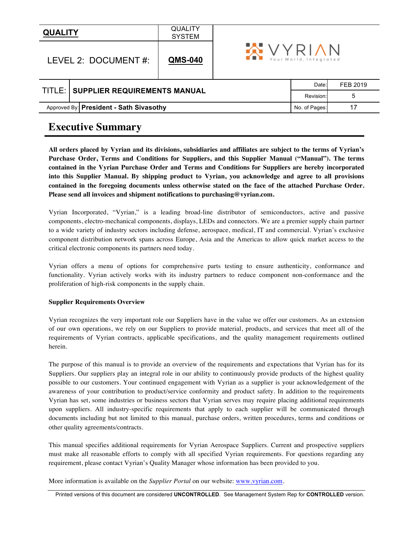| <b>QUALITY</b>          |                                         | <b>QUALITY</b><br><b>SYSTEM</b> |                                          |       |          |
|-------------------------|-----------------------------------------|---------------------------------|------------------------------------------|-------|----------|
| LEVEL 2: DOCUMENT $#$ : |                                         | <b>QMS-040</b>                  | <b>XVYRIAN</b><br>Your World, Integrated |       |          |
|                         |                                         |                                 |                                          | Date: | FEB 2019 |
|                         | TITLE: SUPPLIER REQUIREMENTS MANUAL     |                                 | Revision:                                | 5     |          |
|                         | Approved By: President - Sath Sivasothy | No. of Pages:                   |                                          |       |          |

# **Executive Summary**

**All orders placed by Vyrian and its divisions, subsidiaries and affiliates are subject to the terms of Vyrian's Purchase Order, Terms and Conditions for Suppliers, and this Supplier Manual ("Manual"). The terms contained in the Vyrian Purchase Order and Terms and Conditions for Suppliers are hereby incorporated into this Supplier Manual. By shipping product to Vyrian, you acknowledge and agree to all provisions contained in the foregoing documents unless otherwise stated on the face of the attached Purchase Order. Please send all invoices and shipment notifications to purchasing@vyrian.com.**

Vyrian Incorporated, "Vyrian," is a leading broad-line distributor of semiconductors, active and passive components, electro-mechanical components, displays, LEDs and connectors. We are a premier supply chain partner to a wide variety of industry sectors including defense, aerospace, medical, IT and commercial. Vyrian's exclusive component distribution network spans across Europe, Asia and the Americas to allow quick market access to the critical electronic components its partners need today.

Vyrian offers a menu of options for comprehensive parts testing to ensure authenticity, conformance and functionality. Vyrian actively works with its industry partners to reduce component non-conformance and the proliferation of high-risk components in the supply chain.

#### **Supplier Requirements Overview**

Vyrian recognizes the very important role our Suppliers have in the value we offer our customers. As an extension of our own operations, we rely on our Suppliers to provide material, products, and services that meet all of the requirements of Vyrian contracts, applicable specifications, and the quality management requirements outlined herein.

The purpose of this manual is to provide an overview of the requirements and expectations that Vyrian has for its Suppliers. Our suppliers play an integral role in our ability to continuously provide products of the highest quality possible to our customers. Your continued engagement with Vyrian as a supplier is your acknowledgement of the awareness of your contribution to product/service conformity and product safety. In addition to the requirements Vyrian has set, some industries or business sectors that Vyrian serves may require placing additional requirements upon suppliers. All industry-specific requirements that apply to each supplier will be communicated through documents including but not limited to this manual, purchase orders, written procedures, terms and conditions or other quality agreements/contracts.

This manual specifies additional requirements for Vyrian Aerospace Suppliers. Current and prospective suppliers must make all reasonable efforts to comply with all specified Vyrian requirements. For questions regarding any requirement, please contact Vyrian's Quality Manager whose information has been provided to you.

More information is available on the *Supplier Portal* on our website: www.vyrian.com.

Printed versions of this document are considered **UNCONTROLLED**. See Management System Rep for **CONTROLLED** version.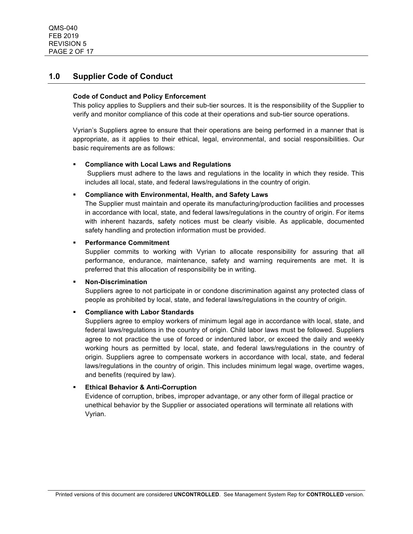# **1.0 Supplier Code of Conduct**

### **Code of Conduct and Policy Enforcement**

This policy applies to Suppliers and their sub-tier sources. It is the responsibility of the Supplier to verify and monitor compliance of this code at their operations and sub-tier source operations.

Vyrian's Suppliers agree to ensure that their operations are being performed in a manner that is appropriate, as it applies to their ethical, legal, environmental, and social responsibilities. Our basic requirements are as follows:

### § **Compliance with Local Laws and Regulations**

Suppliers must adhere to the laws and regulations in the locality in which they reside. This includes all local, state, and federal laws/regulations in the country of origin.

### § **Compliance with Environmental, Health, and Safety Laws**

The Supplier must maintain and operate its manufacturing/production facilities and processes in accordance with local, state, and federal laws/regulations in the country of origin. For items with inherent hazards, safety notices must be clearly visible. As applicable, documented safety handling and protection information must be provided.

### § **Performance Commitment**

Supplier commits to working with Vyrian to allocate responsibility for assuring that all performance, endurance, maintenance, safety and warning requirements are met. It is preferred that this allocation of responsibility be in writing.

### § **Non-Discrimination**

Suppliers agree to not participate in or condone discrimination against any protected class of people as prohibited by local, state, and federal laws/regulations in the country of origin.

### § **Compliance with Labor Standards**

Suppliers agree to employ workers of minimum legal age in accordance with local, state, and federal laws/regulations in the country of origin. Child labor laws must be followed. Suppliers agree to not practice the use of forced or indentured labor, or exceed the daily and weekly working hours as permitted by local, state, and federal laws/regulations in the country of origin. Suppliers agree to compensate workers in accordance with local, state, and federal laws/regulations in the country of origin. This includes minimum legal wage, overtime wages, and benefits (required by law).

### § **Ethical Behavior & Anti-Corruption**

Evidence of corruption, bribes, improper advantage, or any other form of illegal practice or unethical behavior by the Supplier or associated operations will terminate all relations with Vyrian.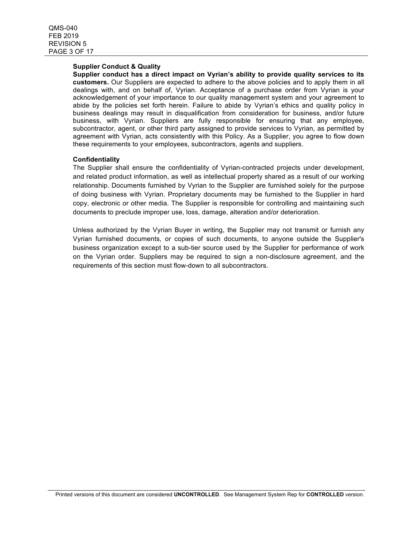#### **Supplier Conduct & Quality**

**Supplier conduct has a direct impact on Vyrian's ability to provide quality services to its customers.** Our Suppliers are expected to adhere to the above policies and to apply them in all dealings with, and on behalf of, Vyrian. Acceptance of a purchase order from Vyrian is your acknowledgement of your importance to our quality management system and your agreement to abide by the policies set forth herein. Failure to abide by Vyrian's ethics and quality policy in business dealings may result in disqualification from consideration for business, and/or future business, with Vyrian. Suppliers are fully responsible for ensuring that any employee, subcontractor, agent, or other third party assigned to provide services to Vyrian, as permitted by agreement with Vyrian, acts consistently with this Policy. As a Supplier, you agree to flow down these requirements to your employees, subcontractors, agents and suppliers.

#### **Confidentiality**

The Supplier shall ensure the confidentiality of Vyrian-contracted projects under development, and related product information, as well as intellectual property shared as a result of our working relationship. Documents furnished by Vyrian to the Supplier are furnished solely for the purpose of doing business with Vyrian. Proprietary documents may be furnished to the Supplier in hard copy, electronic or other media. The Supplier is responsible for controlling and maintaining such documents to preclude improper use, loss, damage, alteration and/or deterioration.

Unless authorized by the Vyrian Buyer in writing, the Supplier may not transmit or furnish any Vyrian furnished documents, or copies of such documents, to anyone outside the Supplier's business organization except to a sub-tier source used by the Supplier for performance of work on the Vyrian order. Suppliers may be required to sign a non-disclosure agreement, and the requirements of this section must flow-down to all subcontractors.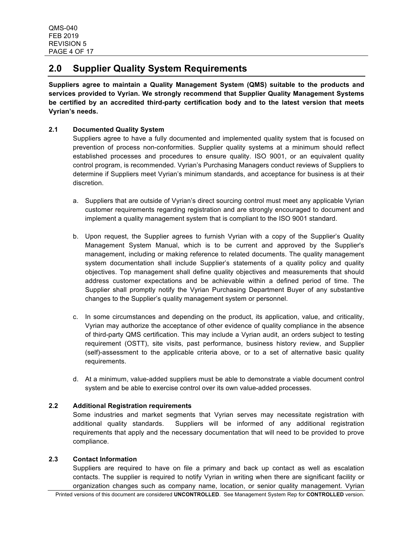# **2.0 Supplier Quality System Requirements**

**Suppliers agree to maintain a Quality Management System (QMS) suitable to the products and services provided to Vyrian. We strongly recommend that Supplier Quality Management Systems be certified by an accredited third-party certification body and to the latest version that meets Vyrian's needs.**

## **2.1 Documented Quality System**

Suppliers agree to have a fully documented and implemented quality system that is focused on prevention of process non-conformities. Supplier quality systems at a minimum should reflect established processes and procedures to ensure quality. ISO 9001, or an equivalent quality control program, is recommended. Vyrian's Purchasing Managers conduct reviews of Suppliers to determine if Suppliers meet Vyrian's minimum standards, and acceptance for business is at their discretion.

- a. Suppliers that are outside of Vyrian's direct sourcing control must meet any applicable Vyrian customer requirements regarding registration and are strongly encouraged to document and implement a quality management system that is compliant to the ISO 9001 standard.
- b. Upon request, the Supplier agrees to furnish Vyrian with a copy of the Supplier's Quality Management System Manual, which is to be current and approved by the Supplier's management, including or making reference to related documents. The quality management system documentation shall include Supplier's statements of a quality policy and quality objectives. Top management shall define quality objectives and measurements that should address customer expectations and be achievable within a defined period of time. The Supplier shall promptly notify the Vyrian Purchasing Department Buyer of any substantive changes to the Supplier's quality management system or personnel.
- c. In some circumstances and depending on the product, its application, value, and criticality, Vyrian may authorize the acceptance of other evidence of quality compliance in the absence of third-party QMS certification. This may include a Vyrian audit, an orders subject to testing requirement (OSTT), site visits, past performance, business history review, and Supplier (self)-assessment to the applicable criteria above, or to a set of alternative basic quality requirements.
- d. At a minimum, value-added suppliers must be able to demonstrate a viable document control system and be able to exercise control over its own value-added processes.

## **2.2 Additional Registration requirements**

Some industries and market segments that Vyrian serves may necessitate registration with additional quality standards. Suppliers will be informed of any additional registration requirements that apply and the necessary documentation that will need to be provided to prove compliance.

### **2.3 Contact Information**

Suppliers are required to have on file a primary and back up contact as well as escalation contacts. The supplier is required to notify Vyrian in writing when there are significant facility or organization changes such as company name, location, or senior quality management. Vyrian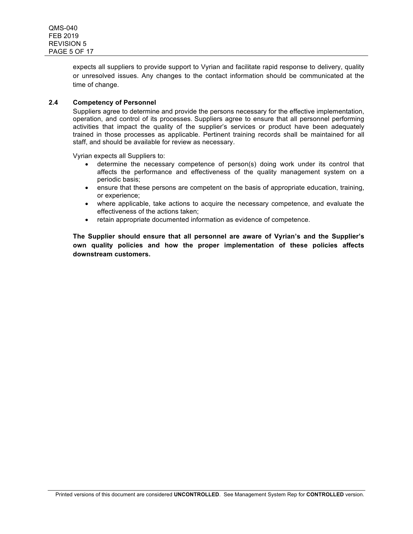expects all suppliers to provide support to Vyrian and facilitate rapid response to delivery, quality or unresolved issues. Any changes to the contact information should be communicated at the time of change.

### **2.4 Competency of Personnel**

Suppliers agree to determine and provide the persons necessary for the effective implementation, operation, and control of its processes. Suppliers agree to ensure that all personnel performing activities that impact the quality of the supplier's services or product have been adequately trained in those processes as applicable. Pertinent training records shall be maintained for all staff, and should be available for review as necessary.

Vyrian expects all Suppliers to:

- determine the necessary competence of person(s) doing work under its control that affects the performance and effectiveness of the quality management system on a periodic basis;
- ensure that these persons are competent on the basis of appropriate education, training, or experience;
- where applicable, take actions to acquire the necessary competence, and evaluate the effectiveness of the actions taken;
- retain appropriate documented information as evidence of competence.

**The Supplier should ensure that all personnel are aware of Vyrian's and the Supplier's own quality policies and how the proper implementation of these policies affects downstream customers.**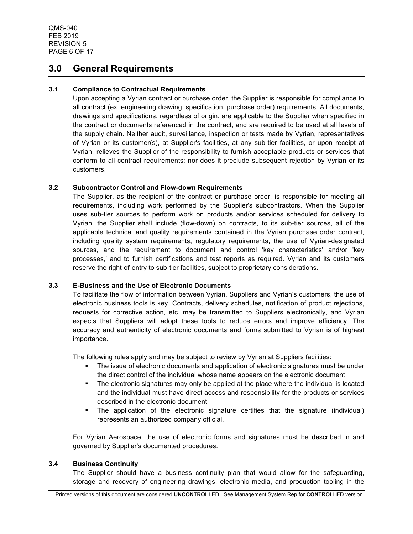# **3.0 General Requirements**

### **3.1 Compliance to Contractual Requirements**

Upon accepting a Vyrian contract or purchase order, the Supplier is responsible for compliance to all contract (ex. engineering drawing, specification, purchase order) requirements. All documents, drawings and specifications, regardless of origin, are applicable to the Supplier when specified in the contract or documents referenced in the contract, and are required to be used at all levels of the supply chain. Neither audit, surveillance, inspection or tests made by Vyrian, representatives of Vyrian or its customer(s), at Supplier's facilities, at any sub-tier facilities, or upon receipt at Vyrian, relieves the Supplier of the responsibility to furnish acceptable products or services that conform to all contract requirements; nor does it preclude subsequent rejection by Vyrian or its customers.

### **3.2 Subcontractor Control and Flow-down Requirements**

The Supplier, as the recipient of the contract or purchase order, is responsible for meeting all requirements, including work performed by the Supplier's subcontractors. When the Supplier uses sub-tier sources to perform work on products and/or services scheduled for delivery to Vyrian, the Supplier shall include (flow-down) on contracts, to its sub-tier sources, all of the applicable technical and quality requirements contained in the Vyrian purchase order contract, including quality system requirements, regulatory requirements, the use of Vyrian-designated sources, and the requirement to document and control 'key characteristics' and/or 'key processes,' and to furnish certifications and test reports as required. Vyrian and its customers reserve the right-of-entry to sub-tier facilities, subject to proprietary considerations.

### **3.3 E-Business and the Use of Electronic Documents**

To facilitate the flow of information between Vyrian, Suppliers and Vyrian's customers, the use of electronic business tools is key. Contracts, delivery schedules, notification of product rejections, requests for corrective action, etc. may be transmitted to Suppliers electronically, and Vyrian expects that Suppliers will adopt these tools to reduce errors and improve efficiency. The accuracy and authenticity of electronic documents and forms submitted to Vyrian is of highest importance.

The following rules apply and may be subject to review by Vyrian at Suppliers facilities:

- The issue of electronic documents and application of electronic signatures must be under the direct control of the individual whose name appears on the electronic document
- The electronic signatures may only be applied at the place where the individual is located and the individual must have direct access and responsibility for the products or services described in the electronic document
- The application of the electronic signature certifies that the signature (individual) represents an authorized company official.

For Vyrian Aerospace, the use of electronic forms and signatures must be described in and governed by Supplier's documented procedures.

### **3.4 Business Continuity**

The Supplier should have a business continuity plan that would allow for the safeguarding, storage and recovery of engineering drawings, electronic media, and production tooling in the

Printed versions of this document are considered **UNCONTROLLED**. See Management System Rep for **CONTROLLED** version.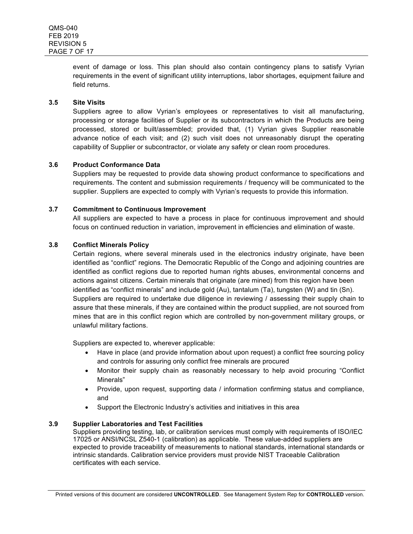event of damage or loss. This plan should also contain contingency plans to satisfy Vyrian requirements in the event of significant utility interruptions, labor shortages, equipment failure and field returns.

### **3.5 Site Visits**

Suppliers agree to allow Vyrian's employees or representatives to visit all manufacturing, processing or storage facilities of Supplier or its subcontractors in which the Products are being processed, stored or built/assembled; provided that, (1) Vyrian gives Supplier reasonable advance notice of each visit; and (2) such visit does not unreasonably disrupt the operating capability of Supplier or subcontractor, or violate any safety or clean room procedures.

## **3.6 Product Conformance Data**

Suppliers may be requested to provide data showing product conformance to specifications and requirements. The content and submission requirements / frequency will be communicated to the supplier. Suppliers are expected to comply with Vyrian's requests to provide this information.

### **3.7 Commitment to Continuous Improvement**

All suppliers are expected to have a process in place for continuous improvement and should focus on continued reduction in variation, improvement in efficiencies and elimination of waste.

### **3.8 Conflict Minerals Policy**

Certain regions, where several minerals used in the electronics industry originate, have been identified as "conflict" regions. The Democratic Republic of the Congo and adjoining countries are identified as conflict regions due to reported human rights abuses, environmental concerns and actions against citizens. Certain minerals that originate (are mined) from this region have been identified as "conflict minerals" and include gold (Au), tantalum (Ta), tungsten (W) and tin (Sn). Suppliers are required to undertake due diligence in reviewing / assessing their supply chain to assure that these minerals, if they are contained within the product supplied, are not sourced from mines that are in this conflict region which are controlled by non-government military groups, or unlawful military factions.

Suppliers are expected to, wherever applicable:

- Have in place (and provide information about upon request) a conflict free sourcing policy and controls for assuring only conflict free minerals are procured
- Monitor their supply chain as reasonably necessary to help avoid procuring "Conflict Minerals"
- Provide, upon request, supporting data / information confirming status and compliance, and
- Support the Electronic Industry's activities and initiatives in this area

### **3.9 Supplier Laboratories and Test Facilities**

Suppliers providing testing, lab, or calibration services must comply with requirements of ISO/IEC 17025 or ANSI/NCSL Z540-1 (calibration) as applicable. These value-added suppliers are expected to provide traceability of measurements to national standards, international standards or intrinsic standards. Calibration service providers must provide NIST Traceable Calibration certificates with each service.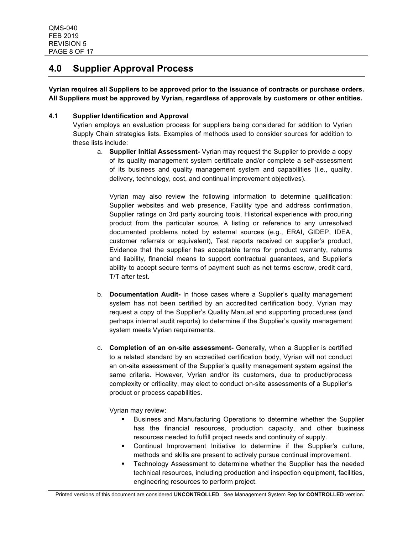# **4.0 Supplier Approval Process**

**Vyrian requires all Suppliers to be approved prior to the issuance of contracts or purchase orders. All Suppliers must be approved by Vyrian, regardless of approvals by customers or other entities.**

### **4.1 Supplier Identification and Approval**

Vyrian employs an evaluation process for suppliers being considered for addition to Vyrian Supply Chain strategies lists. Examples of methods used to consider sources for addition to these lists include:

a. **Supplier Initial Assessment-** Vyrian may request the Supplier to provide a copy of its quality management system certificate and/or complete a self-assessment of its business and quality management system and capabilities (i.e., quality, delivery, technology, cost, and continual improvement objectives).

Vyrian may also review the following information to determine qualification: Supplier websites and web presence, Facility type and address confirmation, Supplier ratings on 3rd party sourcing tools, Historical experience with procuring product from the particular source, A listing or reference to any unresolved documented problems noted by external sources (e.g., ERAI, GIDEP, IDEA, customer referrals or equivalent), Test reports received on supplier's product, Evidence that the supplier has acceptable terms for product warranty, returns and liability, financial means to support contractual guarantees, and Supplier's ability to accept secure terms of payment such as net terms escrow, credit card, T/T after test.

- b. **Documentation Audit-** In those cases where a Supplier's quality management system has not been certified by an accredited certification body, Vyrian may request a copy of the Supplier's Quality Manual and supporting procedures (and perhaps internal audit reports) to determine if the Supplier's quality management system meets Vyrian requirements.
- c. **Completion of an on-site assessment-** Generally, when a Supplier is certified to a related standard by an accredited certification body, Vyrian will not conduct an on-site assessment of the Supplier's quality management system against the same criteria. However, Vyrian and/or its customers, due to product/process complexity or criticality, may elect to conduct on-site assessments of a Supplier's product or process capabilities.

Vyrian may review:

- § Business and Manufacturing Operations to determine whether the Supplier has the financial resources, production capacity, and other business resources needed to fulfill project needs and continuity of supply.
- § Continual Improvement Initiative to determine if the Supplier's culture, methods and skills are present to actively pursue continual improvement.
- § Technology Assessment to determine whether the Supplier has the needed technical resources, including production and inspection equipment, facilities, engineering resources to perform project.

Printed versions of this document are considered **UNCONTROLLED**. See Management System Rep for **CONTROLLED** version.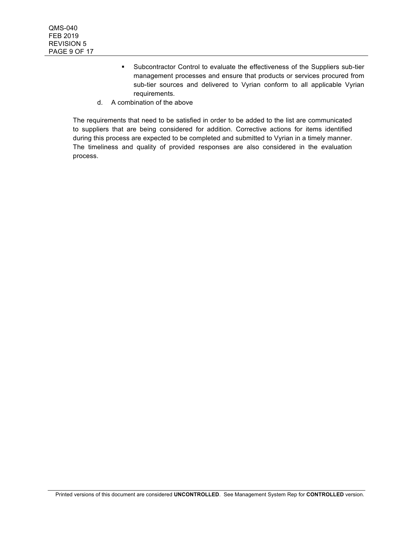- § Subcontractor Control to evaluate the effectiveness of the Suppliers sub-tier management processes and ensure that products or services procured from sub-tier sources and delivered to Vyrian conform to all applicable Vyrian requirements.
- d. A combination of the above

The requirements that need to be satisfied in order to be added to the list are communicated to suppliers that are being considered for addition. Corrective actions for items identified during this process are expected to be completed and submitted to Vyrian in a timely manner. The timeliness and quality of provided responses are also considered in the evaluation process.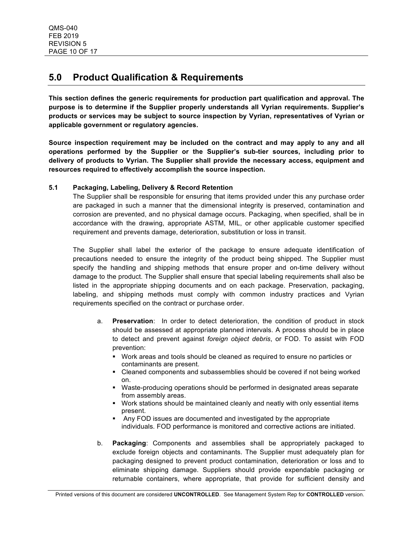# **5.0 Product Qualification & Requirements**

**This section defines the generic requirements for production part qualification and approval. The purpose is to determine if the Supplier properly understands all Vyrian requirements. Supplier's products or services may be subject to source inspection by Vyrian, representatives of Vyrian or applicable government or regulatory agencies.** 

**Source inspection requirement may be included on the contract and may apply to any and all operations performed by the Supplier or the Supplier's sub-tier sources, including prior to delivery of products to Vyrian. The Supplier shall provide the necessary access, equipment and resources required to effectively accomplish the source inspection.**

## **5.1 Packaging, Labeling, Delivery & Record Retention**

The Supplier shall be responsible for ensuring that items provided under this any purchase order are packaged in such a manner that the dimensional integrity is preserved, contamination and corrosion are prevented, and no physical damage occurs. Packaging, when specified, shall be in accordance with the drawing, appropriate ASTM, MIL, or other applicable customer specified requirement and prevents damage, deterioration, substitution or loss in transit.

The Supplier shall label the exterior of the package to ensure adequate identification of precautions needed to ensure the integrity of the product being shipped. The Supplier must specify the handling and shipping methods that ensure proper and on-time delivery without damage to the product. The Supplier shall ensure that special labeling requirements shall also be listed in the appropriate shipping documents and on each package. Preservation, packaging, labeling, and shipping methods must comply with common industry practices and Vyrian requirements specified on the contract or purchase order.

- a. **Preservation**: In order to detect deterioration, the condition of product in stock should be assessed at appropriate planned intervals. A process should be in place to detect and prevent against *foreign object debris*, or FOD. To assist with FOD prevention:
	- § Work areas and tools should be cleaned as required to ensure no particles or contaminants are present.
	- § Cleaned components and subassemblies should be covered if not being worked on.
	- § Waste-producing operations should be performed in designated areas separate from assembly areas.
	- § Work stations should be maintained cleanly and neatly with only essential items present.
	- § Any FOD issues are documented and investigated by the appropriate individuals. FOD performance is monitored and corrective actions are initiated.
- b. **Packaging**: Components and assemblies shall be appropriately packaged to exclude foreign objects and contaminants. The Supplier must adequately plan for packaging designed to prevent product contamination, deterioration or loss and to eliminate shipping damage. Suppliers should provide expendable packaging or returnable containers, where appropriate, that provide for sufficient density and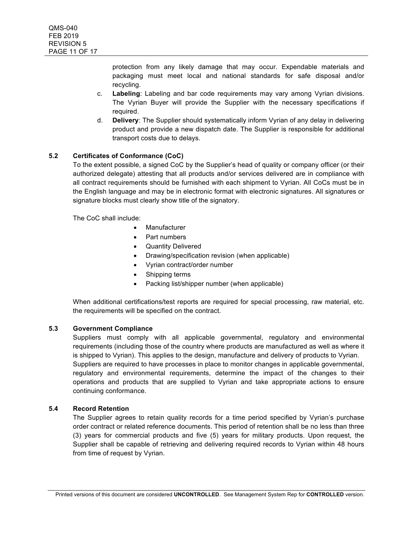protection from any likely damage that may occur. Expendable materials and packaging must meet local and national standards for safe disposal and/or recycling.

- c. **Labeling**: Labeling and bar code requirements may vary among Vyrian divisions. The Vyrian Buyer will provide the Supplier with the necessary specifications if required.
- d. **Delivery**: The Supplier should systematically inform Vyrian of any delay in delivering product and provide a new dispatch date. The Supplier is responsible for additional transport costs due to delays.

## **5.2 Certificates of Conformance (CoC)**

To the extent possible, a signed CoC by the Supplier's head of quality or company officer (or their authorized delegate) attesting that all products and/or services delivered are in compliance with all contract requirements should be furnished with each shipment to Vyrian. All CoCs must be in the English language and may be in electronic format with electronic signatures. All signatures or signature blocks must clearly show title of the signatory.

The CoC shall include:

- **Manufacturer**
- Part numbers
- Quantity Delivered
- Drawing/specification revision (when applicable)
- Vyrian contract/order number
- Shipping terms
- Packing list/shipper number (when applicable)

When additional certifications/test reports are required for special processing, raw material, etc. the requirements will be specified on the contract.

### **5.3 Government Compliance**

Suppliers must comply with all applicable governmental, regulatory and environmental requirements (including those of the country where products are manufactured as well as where it is shipped to Vyrian). This applies to the design, manufacture and delivery of products to Vyrian. Suppliers are required to have processes in place to monitor changes in applicable governmental, regulatory and environmental requirements, determine the impact of the changes to their operations and products that are supplied to Vyrian and take appropriate actions to ensure continuing conformance.

## **5.4 Record Retention**

The Supplier agrees to retain quality records for a time period specified by Vyrian's purchase order contract or related reference documents. This period of retention shall be no less than three (3) years for commercial products and five (5) years for military products. Upon request, the Supplier shall be capable of retrieving and delivering required records to Vyrian within 48 hours from time of request by Vyrian.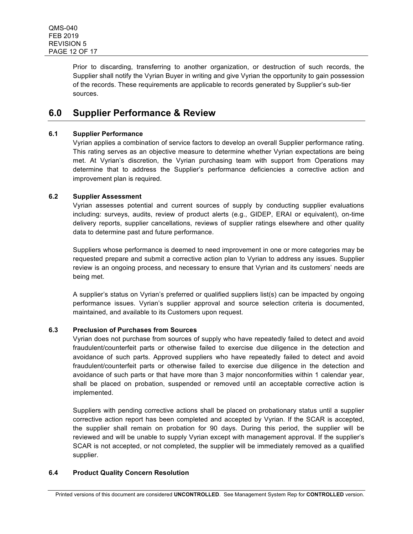Prior to discarding, transferring to another organization, or destruction of such records, the Supplier shall notify the Vyrian Buyer in writing and give Vyrian the opportunity to gain possession of the records. These requirements are applicable to records generated by Supplier's sub-tier sources.

# **6.0 Supplier Performance & Review**

### **6.1 Supplier Performance**

Vyrian applies a combination of service factors to develop an overall Supplier performance rating. This rating serves as an objective measure to determine whether Vyrian expectations are being met. At Vyrian's discretion, the Vyrian purchasing team with support from Operations may determine that to address the Supplier's performance deficiencies a corrective action and improvement plan is required.

## **6.2 Supplier Assessment**

Vyrian assesses potential and current sources of supply by conducting supplier evaluations including: surveys, audits, review of product alerts (e.g., GIDEP, ERAI or equivalent), on-time delivery reports, supplier cancellations, reviews of supplier ratings elsewhere and other quality data to determine past and future performance.

Suppliers whose performance is deemed to need improvement in one or more categories may be requested prepare and submit a corrective action plan to Vyrian to address any issues. Supplier review is an ongoing process, and necessary to ensure that Vyrian and its customers' needs are being met.

A supplier's status on Vyrian's preferred or qualified suppliers list(s) can be impacted by ongoing performance issues. Vyrian's supplier approval and source selection criteria is documented, maintained, and available to its Customers upon request.

### **6.3 Preclusion of Purchases from Sources**

Vyrian does not purchase from sources of supply who have repeatedly failed to detect and avoid fraudulent/counterfeit parts or otherwise failed to exercise due diligence in the detection and avoidance of such parts. Approved suppliers who have repeatedly failed to detect and avoid fraudulent/counterfeit parts or otherwise failed to exercise due diligence in the detection and avoidance of such parts or that have more than 3 major nonconformities within 1 calendar year, shall be placed on probation, suspended or removed until an acceptable corrective action is implemented.

Suppliers with pending corrective actions shall be placed on probationary status until a supplier corrective action report has been completed and accepted by Vyrian. If the SCAR is accepted, the supplier shall remain on probation for 90 days. During this period, the supplier will be reviewed and will be unable to supply Vyrian except with management approval. If the supplier's SCAR is not accepted, or not completed, the supplier will be immediately removed as a qualified supplier.

### **6.4 Product Quality Concern Resolution**

Printed versions of this document are considered **UNCONTROLLED**. See Management System Rep for **CONTROLLED** version.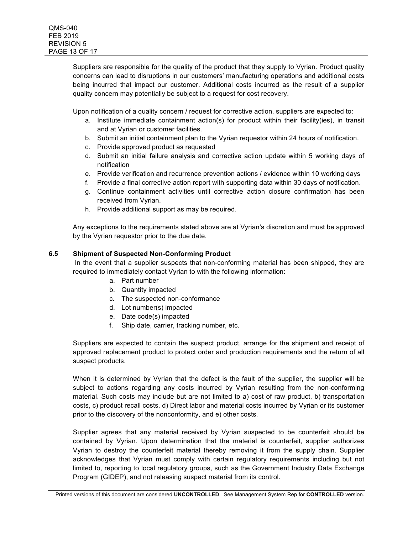Suppliers are responsible for the quality of the product that they supply to Vyrian. Product quality concerns can lead to disruptions in our customers' manufacturing operations and additional costs being incurred that impact our customer. Additional costs incurred as the result of a supplier quality concern may potentially be subject to a request for cost recovery.

Upon notification of a quality concern / request for corrective action, suppliers are expected to:

- a. Institute immediate containment action(s) for product within their facility(ies), in transit and at Vyrian or customer facilities.
- b. Submit an initial containment plan to the Vyrian requestor within 24 hours of notification.
- c. Provide approved product as requested
- d. Submit an initial failure analysis and corrective action update within 5 working days of notification
- e. Provide verification and recurrence prevention actions / evidence within 10 working days
- f. Provide a final corrective action report with supporting data within 30 days of notification.
- g. Continue containment activities until corrective action closure confirmation has been received from Vyrian.
- h. Provide additional support as may be required.

Any exceptions to the requirements stated above are at Vyrian's discretion and must be approved by the Vyrian requestor prior to the due date.

### **6.5 Shipment of Suspected Non-Conforming Product**

In the event that a supplier suspects that non-conforming material has been shipped, they are required to immediately contact Vyrian to with the following information:

- a. Part number
- b. Quantity impacted
- c. The suspected non-conformance
- d. Lot number(s) impacted
- e. Date code(s) impacted
- f. Ship date, carrier, tracking number, etc.

Suppliers are expected to contain the suspect product, arrange for the shipment and receipt of approved replacement product to protect order and production requirements and the return of all suspect products.

When it is determined by Vyrian that the defect is the fault of the supplier, the supplier will be subject to actions regarding any costs incurred by Vyrian resulting from the non-conforming material. Such costs may include but are not limited to a) cost of raw product, b) transportation costs, c) product recall costs, d) Direct labor and material costs incurred by Vyrian or its customer prior to the discovery of the nonconformity, and e) other costs.

Supplier agrees that any material received by Vyrian suspected to be counterfeit should be contained by Vyrian. Upon determination that the material is counterfeit, supplier authorizes Vyrian to destroy the counterfeit material thereby removing it from the supply chain. Supplier acknowledges that Vyrian must comply with certain regulatory requirements including but not limited to, reporting to local regulatory groups, such as the Government Industry Data Exchange Program (GIDEP), and not releasing suspect material from its control.

Printed versions of this document are considered **UNCONTROLLED**. See Management System Rep for **CONTROLLED** version.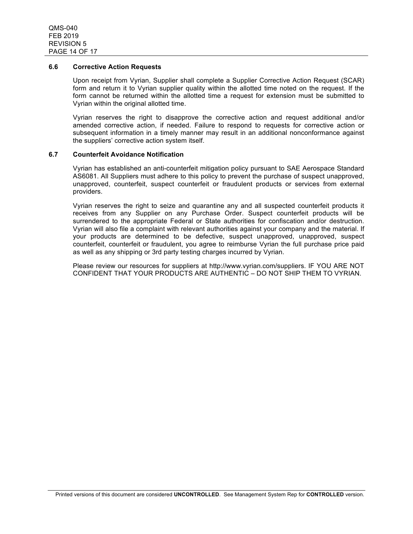#### **6.6 Corrective Action Requests**

Upon receipt from Vyrian, Supplier shall complete a Supplier Corrective Action Request (SCAR) form and return it to Vyrian supplier quality within the allotted time noted on the request. If the form cannot be returned within the allotted time a request for extension must be submitted to Vyrian within the original allotted time.

Vyrian reserves the right to disapprove the corrective action and request additional and/or amended corrective action, if needed. Failure to respond to requests for corrective action or subsequent information in a timely manner may result in an additional nonconformance against the suppliers' corrective action system itself.

#### **6.7 Counterfeit Avoidance Notification**

Vyrian has established an anti-counterfeit mitigation policy pursuant to SAE Aerospace Standard AS6081. All Suppliers must adhere to this policy to prevent the purchase of suspect unapproved, unapproved, counterfeit, suspect counterfeit or fraudulent products or services from external providers.

Vyrian reserves the right to seize and quarantine any and all suspected counterfeit products it receives from any Supplier on any Purchase Order. Suspect counterfeit products will be surrendered to the appropriate Federal or State authorities for confiscation and/or destruction. Vyrian will also file a complaint with relevant authorities against your company and the material. If your products are determined to be defective, suspect unapproved, unapproved, suspect counterfeit, counterfeit or fraudulent, you agree to reimburse Vyrian the full purchase price paid as well as any shipping or 3rd party testing charges incurred by Vyrian.

Please review our resources for suppliers at http://www.vyrian.com/suppliers. IF YOU ARE NOT CONFIDENT THAT YOUR PRODUCTS ARE AUTHENTIC – DO NOT SHIP THEM TO VYRIAN.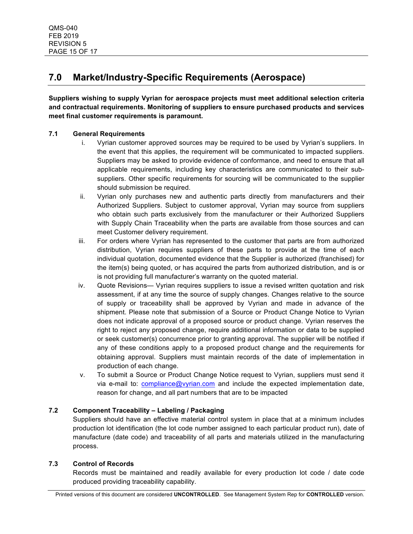# **7.0 Market/Industry-Specific Requirements (Aerospace)**

**Suppliers wishing to supply Vyrian for aerospace projects must meet additional selection criteria and contractual requirements. Monitoring of suppliers to ensure purchased products and services meet final customer requirements is paramount.**

## **7.1 General Requirements**

- i. Vyrian customer approved sources may be required to be used by Vyrian's suppliers. In the event that this applies, the requirement will be communicated to impacted suppliers. Suppliers may be asked to provide evidence of conformance, and need to ensure that all applicable requirements, including key characteristics are communicated to their subsuppliers. Other specific requirements for sourcing will be communicated to the supplier should submission be required.
- ii. Vyrian only purchases new and authentic parts directly from manufacturers and their Authorized Suppliers. Subject to customer approval, Vyrian may source from suppliers who obtain such parts exclusively from the manufacturer or their Authorized Suppliers with Supply Chain Traceability when the parts are available from those sources and can meet Customer delivery requirement.
- iii. For orders where Vyrian has represented to the customer that parts are from authorized distribution, Vyrian requires suppliers of these parts to provide at the time of each individual quotation, documented evidence that the Supplier is authorized (franchised) for the item(s) being quoted, or has acquired the parts from authorized distribution, and is or is not providing full manufacturer's warranty on the quoted material.
- iv. Quote Revisions— Vyrian requires suppliers to issue a revised written quotation and risk assessment, if at any time the source of supply changes. Changes relative to the source of supply or traceability shall be approved by Vyrian and made in advance of the shipment. Please note that submission of a Source or Product Change Notice to Vyrian does not indicate approval of a proposed source or product change. Vyrian reserves the right to reject any proposed change, require additional information or data to be supplied or seek customer(s) concurrence prior to granting approval. The supplier will be notified if any of these conditions apply to a proposed product change and the requirements for obtaining approval. Suppliers must maintain records of the date of implementation in production of each change.
- v. To submit a Source or Product Change Notice request to Vyrian, suppliers must send it via e-mail to: compliance@vyrian.com and include the expected implementation date, reason for change, and all part numbers that are to be impacted

# **7.2 Component Traceability – Labeling / Packaging**

Suppliers should have an effective material control system in place that at a minimum includes production lot identification (the lot code number assigned to each particular product run), date of manufacture (date code) and traceability of all parts and materials utilized in the manufacturing process.

# **7.3 Control of Records**

Records must be maintained and readily available for every production lot code / date code produced providing traceability capability.

Printed versions of this document are considered **UNCONTROLLED**. See Management System Rep for **CONTROLLED** version.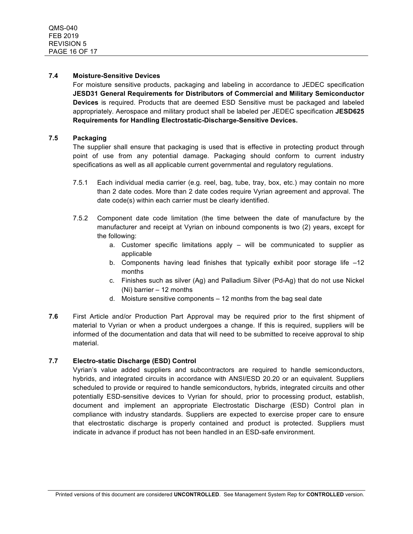### **7.4 Moisture-Sensitive Devices**

For moisture sensitive products, packaging and labeling in accordance to JEDEC specification **JESD31 General Requirements for Distributors of Commercial and Military Semiconductor Devices** is required. Products that are deemed ESD Sensitive must be packaged and labeled appropriately. Aerospace and military product shall be labeled per JEDEC specification **JESD625 Requirements for Handling Electrostatic-Discharge-Sensitive Devices.**

### **7.5 Packaging**

The supplier shall ensure that packaging is used that is effective in protecting product through point of use from any potential damage. Packaging should conform to current industry specifications as well as all applicable current governmental and regulatory regulations.

- 7.5.1 Each individual media carrier (e.g. reel, bag, tube, tray, box, etc.) may contain no more than 2 date codes. More than 2 date codes require Vyrian agreement and approval. The date code(s) within each carrier must be clearly identified.
- 7.5.2 Component date code limitation (the time between the date of manufacture by the manufacturer and receipt at Vyrian on inbound components is two (2) years, except for the following:
	- a. Customer specific limitations apply will be communicated to supplier as applicable
	- b. Components having lead finishes that typically exhibit poor storage life –12 months
	- c. Finishes such as silver (Ag) and Palladium Silver (Pd-Ag) that do not use Nickel (Ni) barrier – 12 months
	- d. Moisture sensitive components 12 months from the bag seal date
- **7.6** First Article and/or Production Part Approval may be required prior to the first shipment of material to Vyrian or when a product undergoes a change. If this is required, suppliers will be informed of the documentation and data that will need to be submitted to receive approval to ship material.

### **7.7 Electro-static Discharge (ESD) Control**

Vyrian's value added suppliers and subcontractors are required to handle semiconductors, hybrids, and integrated circuits in accordance with ANSI/ESD 20.20 or an equivalent. Suppliers scheduled to provide or required to handle semiconductors, hybrids, integrated circuits and other potentially ESD-sensitive devices to Vyrian for should, prior to processing product, establish, document and implement an appropriate Electrostatic Discharge (ESD) Control plan in compliance with industry standards. Suppliers are expected to exercise proper care to ensure that electrostatic discharge is properly contained and product is protected. Suppliers must indicate in advance if product has not been handled in an ESD-safe environment.